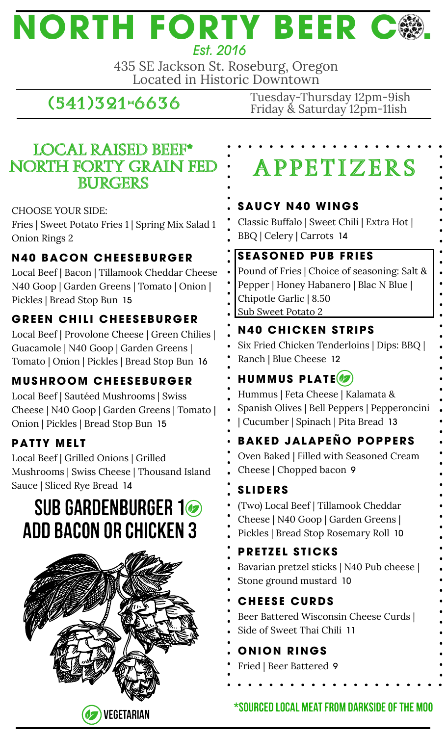# **NORTH FORTY BEER C .** *Est. 2016*

435 SE Jackson St. Roseburg, Oregon Located in Historic Downtown

## **(541)321-6636**

Tuesday-Thursday 12pm-9ish Friday & Saturday 12pm-11ish

### **local raised beef\* north Forty grain fed burgers**

CHOOSE YOUR SIDE:

Fries | Sweet Potato Fries 1 | Spring Mix Salad 1 Onion Rings 2

### **N40 BACON CHE E S EBURGER**

Local Beef | Bacon | Tillamook Cheddar Cheese N40 Goop | Garden Greens | Tomato | Onion | Pickles | Bread Stop Bun 15

### **GRE EN CHI L I CHE E S EBURGER**

Local Beef | Provolone Cheese | Green Chilies | Guacamole | N40 Goop | Garden Greens | Tomato | Onion | Pickles | Bread Stop Bun 16

### **MUSHROOM CHE E S EBURGER**

Local Beef | Sautéed Mushrooms | Swiss Cheese | N40 Goop | Garden Greens | Tomato | Onion | Pickles | Bread Stop Bun 15

### **PATTY MELT**

Local Beef | Grilled Onions | Grilled Mushrooms | Swiss Cheese | Thousand Island Sauce | Sliced Rye Bread 14

# SUB GARDENBURGER 1 Add Bacon OR Chicken 3



# **A PPE T I ZERS**

### **SAUCY N40 WINGS**

Classic Buffalo | Sweet Chili | Extra Hot | BBQ | Celery | Carrots 14

### **S EASONED PUB FRI E S**

Pound of Fries | Choice of seasoning: Salt & Pepper | Honey Habanero | Blac N Blue | Chipotle Garlic | 8.50 Sub Sweet Potato 2

### **N40 CHICKEN S TRIPS**

Six Fried Chicken Tenderloins | Dips: BBQ | Ranch | Blue Cheese 12

### **HUMMUS PLAT E**

Hummus | Feta Cheese | Kalamata & Spanish Olives | Bell Peppers | Pepperoncini | Cucumber | Spinach | Pita Bread 13

### **BAKED JALAPEÑO POPPERS**

Oven Baked | Filled with Seasoned Cream Cheese | Chopped bacon 9

### **S L IDERS**

- (Two) Local Beef | Tillamook Cheddar
- Cheese | N40 Goop | Garden Greens |
- Pickles | Bread Stop Rosemary Roll 10

### **PRETZEL STICKS**

- Bavarian pretzel sticks | N40 Pub cheese |
- Stone ground mustard 10

#### **CHE E S E CURDS**

- Beer Battered Wisconsin Cheese Curds |
- Side of Sweet Thai Chili 11

### **ONION RINGS**

Fried | Beer Battered 9

### $\star$ Sourced local meat from darkside of the moo